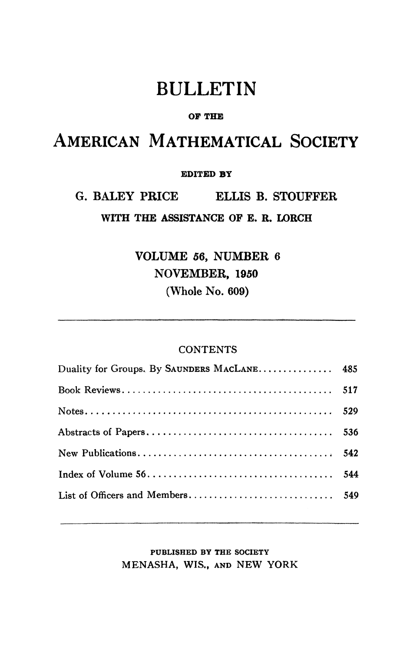# BULLETIN

#### **OF THE**

## AMERICAN MATHEMATICAL SOCIETY

#### **EDITED BY**

### G. BALEY PRICE ELLIS B. STOUFFER **WITH THE ASSISTANCE OF E. R. LORCH**

VOLUME 56, NUMBER 6 NOVEMBER, 1950 (Whole No. 609)

#### **CONTENTS**

| Duality for Groups, By SAUNDERS MACLANE 485 |  |
|---------------------------------------------|--|
|                                             |  |
|                                             |  |
|                                             |  |
|                                             |  |
|                                             |  |
|                                             |  |
|                                             |  |

#### **PUBLISHED BY THE SOCIETY**  MENASHA, WIS,, AND NEW YORK